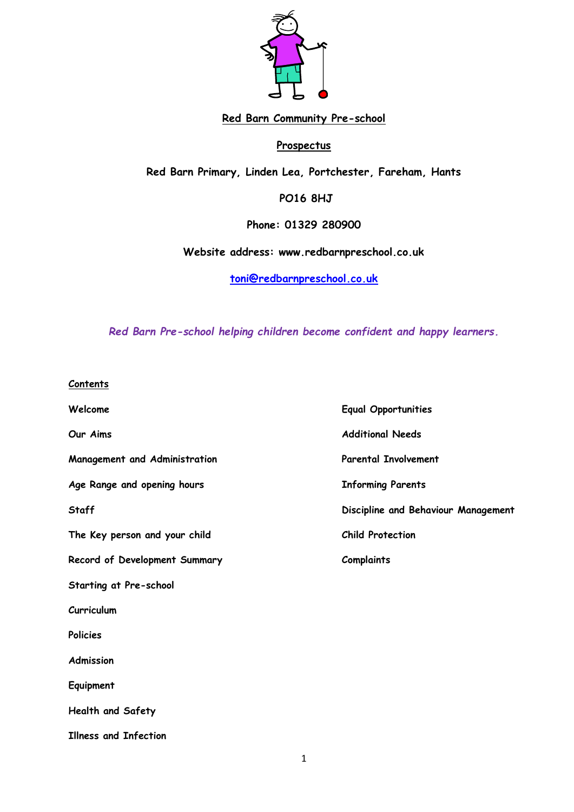

# **Red Barn Community Pre-school**

# **Prospectus**

**Red Barn Primary, Linden Lea, Portchester, Fareham, Hants**

**PO16 8HJ** 

**Phone: 01329 280900**

**Website address: www.redbarnpreschool.co.uk**

**[toni@redbarnpreschool.co.uk](mailto:507811@childcare.hants.org.uk)**

*Red Barn Pre-school helping children become confident and happy learners.*

| Contents |  |
|----------|--|
|          |  |

| Welcome                       | <b>Equal Opportunities</b>          |
|-------------------------------|-------------------------------------|
| Our Aims                      | <b>Additional Needs</b>             |
| Management and Administration | <b>Parental Involvement</b>         |
| Age Range and opening hours   | <b>Informing Parents</b>            |
| <b>Staff</b>                  | Discipline and Behaviour Management |
| The Key person and your child | <b>Child Protection</b>             |
| Record of Development Summary | <b>Complaints</b>                   |
| Starting at Pre-school        |                                     |
| Curriculum                    |                                     |
| <b>Policies</b>               |                                     |
| <b>Admission</b>              |                                     |
| Equipment                     |                                     |
| Health and Safety             |                                     |
| <b>Illness and Infection</b>  |                                     |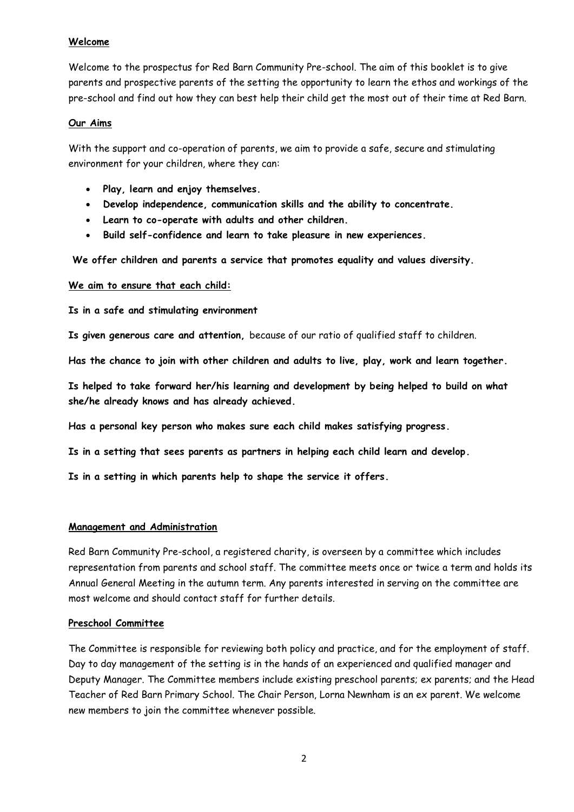## **Welcome**

Welcome to the prospectus for Red Barn Community Pre-school. The aim of this booklet is to give parents and prospective parents of the setting the opportunity to learn the ethos and workings of the pre-school and find out how they can best help their child get the most out of their time at Red Barn.

### **Our Aims**

With the support and co-operation of parents, we aim to provide a safe, secure and stimulating environment for your children, where they can:

- **Play, learn and enjoy themselves.**
- **Develop independence, communication skills and the ability to concentrate.**
- **Learn to co-operate with adults and other children.**
- **Build self-confidence and learn to take pleasure in new experiences.**

**We offer children and parents a service that promotes equality and values diversity.**

### **We aim to ensure that each child:**

**Is in a safe and stimulating environment**

**Is given generous care and attention,** because of our ratio of qualified staff to children.

**Has the chance to join with other children and adults to live, play, work and learn together.**

**Is helped to take forward her/his learning and development by being helped to build on what she/he already knows and has already achieved.**

**Has a personal key person who makes sure each child makes satisfying progress.**

**Is in a setting that sees parents as partners in helping each child learn and develop.**

**Is in a setting in which parents help to shape the service it offers.**

### **Management and Administration**

Red Barn Community Pre-school, a registered charity, is overseen by a committee which includes representation from parents and school staff. The committee meets once or twice a term and holds its Annual General Meeting in the autumn term. Any parents interested in serving on the committee are most welcome and should contact staff for further details.

### **Preschool Committee**

The Committee is responsible for reviewing both policy and practice, and for the employment of staff. Day to day management of the setting is in the hands of an experienced and qualified manager and Deputy Manager. The Committee members include existing preschool parents; ex parents; and the Head Teacher of Red Barn Primary School. The Chair Person, Lorna Newnham is an ex parent. We welcome new members to join the committee whenever possible.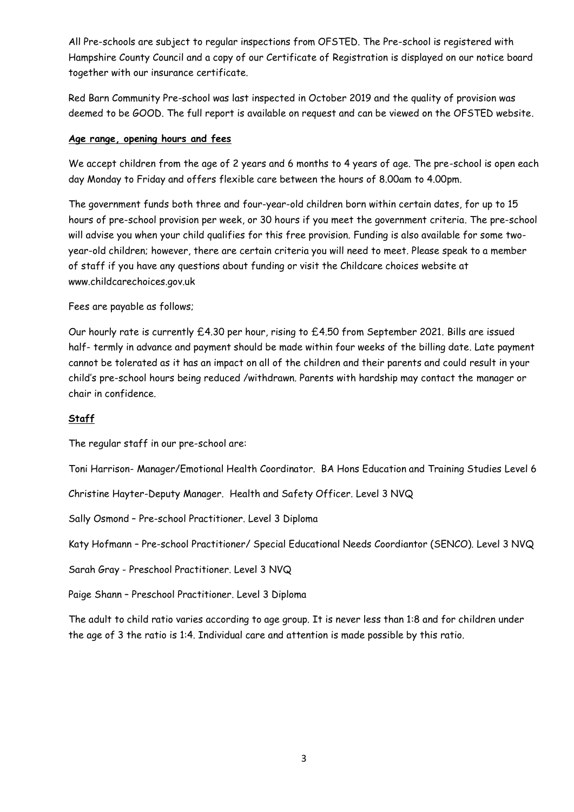All Pre-schools are subject to regular inspections from OFSTED. The Pre-school is registered with Hampshire County Council and a copy of our Certificate of Registration is displayed on our notice board together with our insurance certificate.

Red Barn Community Pre-school was last inspected in October 2019 and the quality of provision was deemed to be GOOD. The full report is available on request and can be viewed on the OFSTED website.

### **Age range, opening hours and fees**

We accept children from the age of 2 years and 6 months to 4 years of age. The pre-school is open each day Monday to Friday and offers flexible care between the hours of 8.00am to 4.00pm.

The government funds both three and four-year-old children born within certain dates, for up to 15 hours of pre-school provision per week, or 30 hours if you meet the government criteria. The pre-school will advise you when your child qualifies for this free provision. Funding is also available for some twoyear-old children; however, there are certain criteria you will need to meet. Please speak to a member of staff if you have any questions about funding or visit the Childcare choices website at www.childcarechoices.gov.uk

Fees are payable as follows;

Our hourly rate is currently £4.30 per hour, rising to £4.50 from September 2021. Bills are issued half- termly in advance and payment should be made within four weeks of the billing date. Late payment cannot be tolerated as it has an impact on all of the children and their parents and could result in your child's pre-school hours being reduced /withdrawn. Parents with hardship may contact the manager or chair in confidence.

### **Staff**

The regular staff in our pre-school are:

Toni Harrison- Manager/Emotional Health Coordinator. BA Hons Education and Training Studies Level 6

Christine Hayter-Deputy Manager. Health and Safety Officer. Level 3 NVQ

Sally Osmond – Pre-school Practitioner. Level 3 Diploma

Katy Hofmann – Pre-school Practitioner/ Special Educational Needs Coordiantor (SENCO). Level 3 NVQ

Sarah Gray - Preschool Practitioner. Level 3 NVQ

Paige Shann – Preschool Practitioner. Level 3 Diploma

The adult to child ratio varies according to age group. It is never less than 1:8 and for children under the age of 3 the ratio is 1:4. Individual care and attention is made possible by this ratio.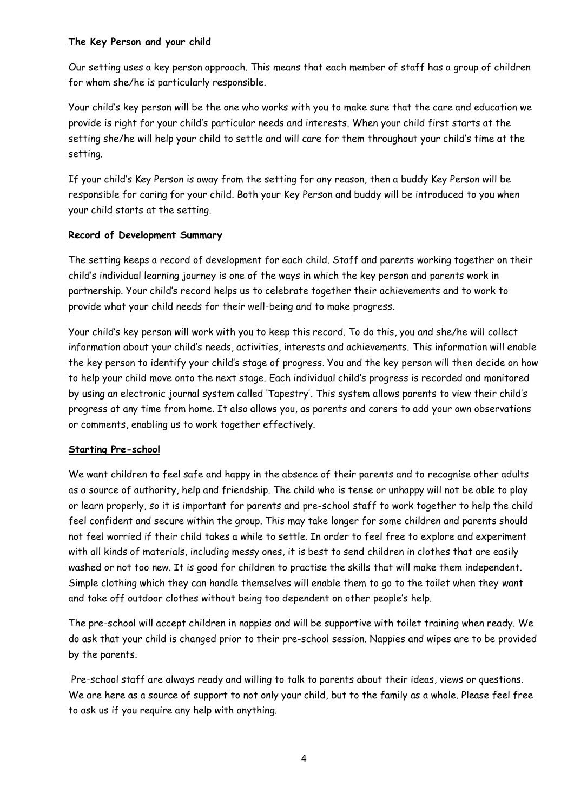## **The Key Person and your child**

Our setting uses a key person approach. This means that each member of staff has a group of children for whom she/he is particularly responsible.

Your child's key person will be the one who works with you to make sure that the care and education we provide is right for your child's particular needs and interests. When your child first starts at the setting she/he will help your child to settle and will care for them throughout your child's time at the setting.

If your child's Key Person is away from the setting for any reason, then a buddy Key Person will be responsible for caring for your child. Both your Key Person and buddy will be introduced to you when your child starts at the setting.

# **Record of Development Summary**

The setting keeps a record of development for each child. Staff and parents working together on their child's individual learning journey is one of the ways in which the key person and parents work in partnership. Your child's record helps us to celebrate together their achievements and to work to provide what your child needs for their well-being and to make progress.

Your child's key person will work with you to keep this record. To do this, you and she/he will collect information about your child's needs, activities, interests and achievements. This information will enable the key person to identify your child's stage of progress. You and the key person will then decide on how to help your child move onto the next stage. Each individual child's progress is recorded and monitored by using an electronic journal system called 'Tapestry'. This system allows parents to view their child's progress at any time from home. It also allows you, as parents and carers to add your own observations or comments, enabling us to work together effectively.

### **Starting Pre-school**

We want children to feel safe and happy in the absence of their parents and to recognise other adults as a source of authority, help and friendship. The child who is tense or unhappy will not be able to play or learn properly, so it is important for parents and pre-school staff to work together to help the child feel confident and secure within the group. This may take longer for some children and parents should not feel worried if their child takes a while to settle. In order to feel free to explore and experiment with all kinds of materials, including messy ones, it is best to send children in clothes that are easily washed or not too new. It is good for children to practise the skills that will make them independent. Simple clothing which they can handle themselves will enable them to go to the toilet when they want and take off outdoor clothes without being too dependent on other people's help.

The pre-school will accept children in nappies and will be supportive with toilet training when ready. We do ask that your child is changed prior to their pre-school session. Nappies and wipes are to be provided by the parents.

Pre-school staff are always ready and willing to talk to parents about their ideas, views or questions. We are here as a source of support to not only your child, but to the family as a whole. Please feel free to ask us if you require any help with anything.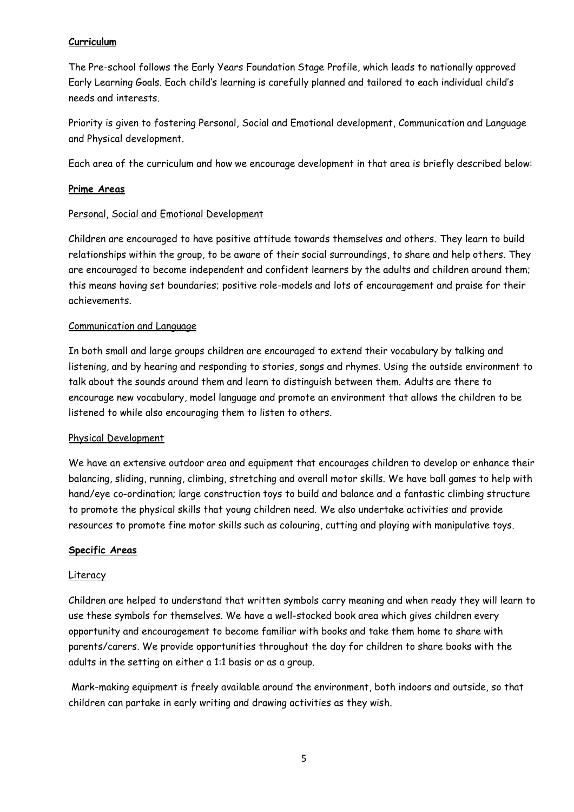## **Curriculum**

The Pre-school follows the Early Years Foundation Stage Profile, which leads to nationally approved Early Learning Goals. Each child's learning is carefully planned and tailored to each individual child's needs and interests.

Priority is given to fostering Personal, Social and Emotional development, Communication and Language and Physical development.

Each area of the curriculum and how we encourage development in that area is briefly described below:

## **Prime Areas**

### Personal, Social and Emotional Development

Children are encouraged to have positive attitude towards themselves and others. They learn to build relationships within the group, to be aware of their social surroundings, to share and help others. They are encouraged to become independent and confident learners by the adults and children around them; this means having set boundaries; positive role-models and lots of encouragement and praise for their achievements.

# Communication and Language

In both small and large groups children are encouraged to extend their vocabulary by talking and listening, and by hearing and responding to stories, songs and rhymes. Using the outside environment to talk about the sounds around them and learn to distinguish between them. Adults are there to encourage new vocabulary, model language and promote an environment that allows the children to be listened to while also encouraging them to listen to others.

### Physical Development

We have an extensive outdoor area and equipment that encourages children to develop or enhance their balancing, sliding, running, climbing, stretching and overall motor skills. We have ball games to help with hand/eye co-ordination; large construction toys to build and balance and a fantastic climbing structure to promote the physical skills that young children need. We also undertake activities and provide resources to promote fine motor skills such as colouring, cutting and playing with manipulative toys.

### **Specific Areas**

### Literacy

Children are helped to understand that written symbols carry meaning and when ready they will learn to use these symbols for themselves. We have a well-stocked book area which gives children every opportunity and encouragement to become familiar with books and take them home to share with parents/carers. We provide opportunities throughout the day for children to share books with the adults in the setting on either a 1:1 basis or as a group.

Mark-making equipment is freely available around the environment, both indoors and outside, so that children can partake in early writing and drawing activities as they wish.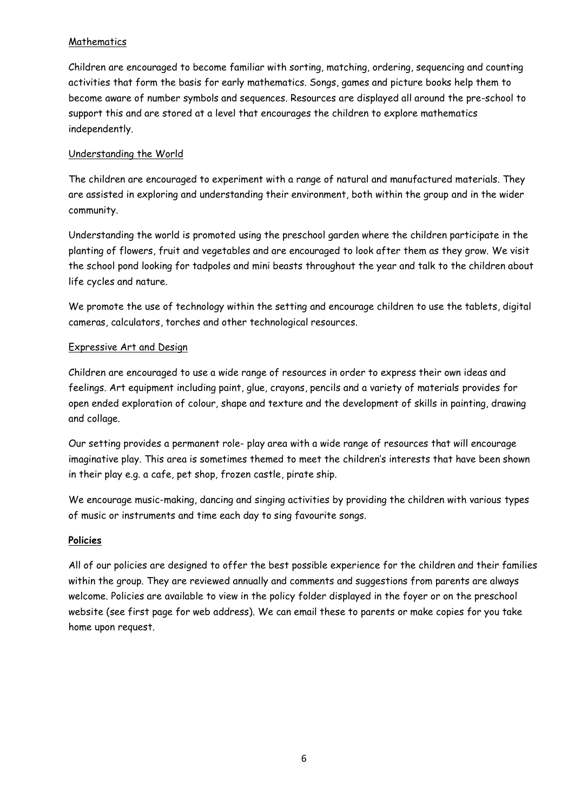# **Mathematics**

Children are encouraged to become familiar with sorting, matching, ordering, sequencing and counting activities that form the basis for early mathematics. Songs, games and picture books help them to become aware of number symbols and sequences. Resources are displayed all around the pre-school to support this and are stored at a level that encourages the children to explore mathematics independently.

## Understanding the World

The children are encouraged to experiment with a range of natural and manufactured materials. They are assisted in exploring and understanding their environment, both within the group and in the wider community.

Understanding the world is promoted using the preschool garden where the children participate in the planting of flowers, fruit and vegetables and are encouraged to look after them as they grow. We visit the school pond looking for tadpoles and mini beasts throughout the year and talk to the children about life cycles and nature.

We promote the use of technology within the setting and encourage children to use the tablets, digital cameras, calculators, torches and other technological resources.

# Expressive Art and Design

Children are encouraged to use a wide range of resources in order to express their own ideas and feelings. Art equipment including paint, glue, crayons, pencils and a variety of materials provides for open ended exploration of colour, shape and texture and the development of skills in painting, drawing and collage.

Our setting provides a permanent role- play area with a wide range of resources that will encourage imaginative play. This area is sometimes themed to meet the children's interests that have been shown in their play e.g. a cafe, pet shop, frozen castle, pirate ship.

We encourage music-making, dancing and singing activities by providing the children with various types of music or instruments and time each day to sing favourite songs.

### **Policies**

All of our policies are designed to offer the best possible experience for the children and their families within the group. They are reviewed annually and comments and suggestions from parents are always welcome. Policies are available to view in the policy folder displayed in the foyer or on the preschool website (see first page for web address). We can email these to parents or make copies for you take home upon request.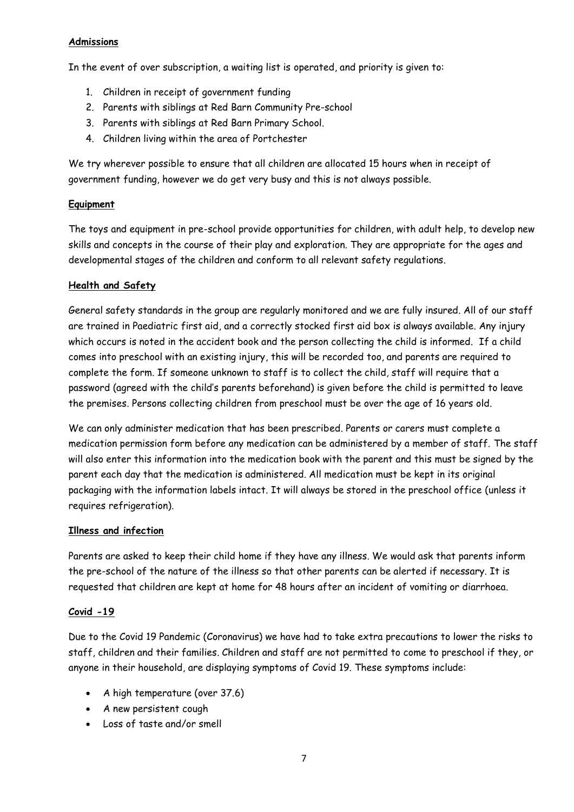## **Admissions**

In the event of over subscription, a waiting list is operated, and priority is given to:

- 1. Children in receipt of government funding
- 2. Parents with siblings at Red Barn Community Pre-school
- 3. Parents with siblings at Red Barn Primary School.
- 4. Children living within the area of Portchester

We try wherever possible to ensure that all children are allocated 15 hours when in receipt of government funding, however we do get very busy and this is not always possible.

# **Equipment**

The toys and equipment in pre-school provide opportunities for children, with adult help, to develop new skills and concepts in the course of their play and exploration. They are appropriate for the ages and developmental stages of the children and conform to all relevant safety regulations.

# **Health and Safety**

General safety standards in the group are regularly monitored and we are fully insured. All of our staff are trained in Paediatric first aid, and a correctly stocked first aid box is always available. Any injury which occurs is noted in the accident book and the person collecting the child is informed. If a child comes into preschool with an existing injury, this will be recorded too, and parents are required to complete the form. If someone unknown to staff is to collect the child, staff will require that a password (agreed with the child's parents beforehand) is given before the child is permitted to leave the premises. Persons collecting children from preschool must be over the age of 16 years old.

We can only administer medication that has been prescribed. Parents or carers must complete a medication permission form before any medication can be administered by a member of staff. The staff will also enter this information into the medication book with the parent and this must be signed by the parent each day that the medication is administered. All medication must be kept in its original packaging with the information labels intact. It will always be stored in the preschool office (unless it requires refrigeration).

### **Illness and infection**

Parents are asked to keep their child home if they have any illness. We would ask that parents inform the pre-school of the nature of the illness so that other parents can be alerted if necessary. It is requested that children are kept at home for 48 hours after an incident of vomiting or diarrhoea.

### **Covid -19**

Due to the Covid 19 Pandemic (Coronavirus) we have had to take extra precautions to lower the risks to staff, children and their families. Children and staff are not permitted to come to preschool if they, or anyone in their household, are displaying symptoms of Covid 19. These symptoms include:

- A high temperature (over 37.6)
- A new persistent cough
- Loss of taste and/or smell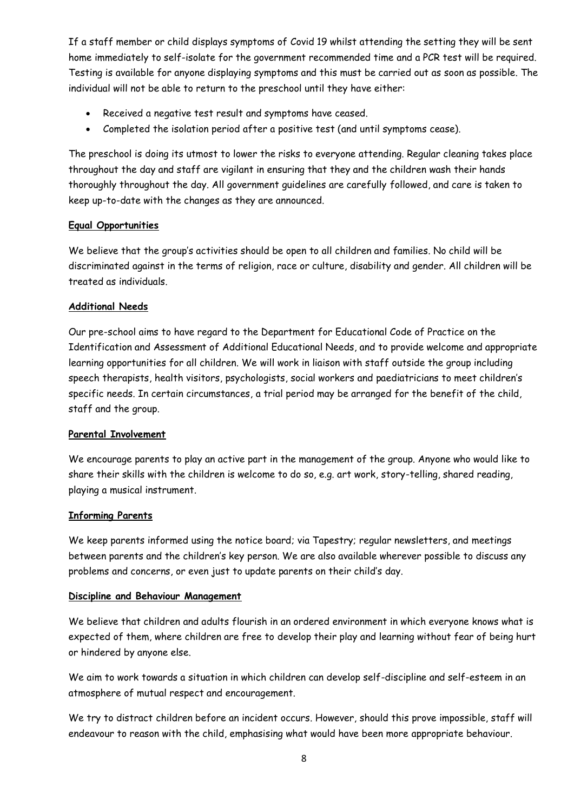If a staff member or child displays symptoms of Covid 19 whilst attending the setting they will be sent home immediately to self-isolate for the government recommended time and a PCR test will be required. Testing is available for anyone displaying symptoms and this must be carried out as soon as possible. The individual will not be able to return to the preschool until they have either:

- Received a negative test result and symptoms have ceased.
- Completed the isolation period after a positive test (and until symptoms cease).

The preschool is doing its utmost to lower the risks to everyone attending. Regular cleaning takes place throughout the day and staff are vigilant in ensuring that they and the children wash their hands thoroughly throughout the day. All government guidelines are carefully followed, and care is taken to keep up-to-date with the changes as they are announced.

### **Equal Opportunities**

We believe that the group's activities should be open to all children and families. No child will be discriminated against in the terms of religion, race or culture, disability and gender. All children will be treated as individuals.

### **Additional Needs**

Our pre-school aims to have regard to the Department for Educational Code of Practice on the Identification and Assessment of Additional Educational Needs, and to provide welcome and appropriate learning opportunities for all children. We will work in liaison with staff outside the group including speech therapists, health visitors, psychologists, social workers and paediatricians to meet children's specific needs. In certain circumstances, a trial period may be arranged for the benefit of the child, staff and the group.

### **Parental Involvement**

We encourage parents to play an active part in the management of the group. Anyone who would like to share their skills with the children is welcome to do so, e.g. art work, story-telling, shared reading, playing a musical instrument.

### **Informing Parents**

We keep parents informed using the notice board; via Tapestry; regular newsletters, and meetings between parents and the children's key person. We are also available wherever possible to discuss any problems and concerns, or even just to update parents on their child's day.

### **Discipline and Behaviour Management**

We believe that children and adults flourish in an ordered environment in which everyone knows what is expected of them, where children are free to develop their play and learning without fear of being hurt or hindered by anyone else.

We aim to work towards a situation in which children can develop self-discipline and self-esteem in an atmosphere of mutual respect and encouragement.

We try to distract children before an incident occurs. However, should this prove impossible, staff will endeavour to reason with the child, emphasising what would have been more appropriate behaviour.